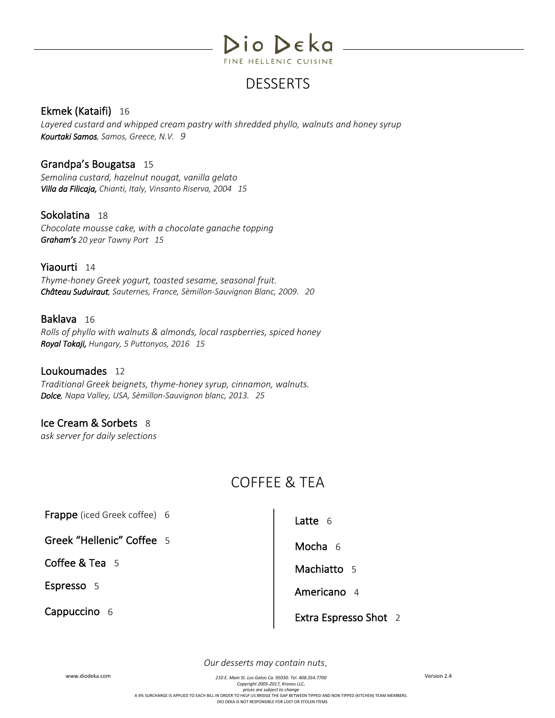

## DESSERTS

#### Ekmek (Kataifi) 16

*Layered custard and whipped cream pastry with shredded phyllo, walnuts and honey syrup Kourtaki Samos, Samos, Greece, N.V. 9*

Grandpa's Bougatsa 15 *Semolina custard, hazelnut nougat, vanilla gelato Villa da Filicaja, Chianti, Italy, Vinsanto Riserva, 2004 15* 

#### Sokolatina 18

*Chocolate mousse cake, with a chocolate ganache topping Graham's 20 year Tawny Port 15*

#### Yiaourti 14

*Thyme-honey Greek yogurt, toasted sesame, seasonal fruit. Château Suduiraut, Sauternes, France, Sèmillon-Sauvignon Blanc, 2009. 20*

#### Baklava 16

*Rolls of phyllo with walnuts & almonds, local raspberries, spiced honey Royal Tokaji, Hungary, 5 Puttonyos, 2016 15* 

Loukoumades 12 *Traditional Greek beignets, thyme-honey syrup, cinnamon, walnuts. Dolce, Napa Valley, USA, Sèmillon-Sauvignon blanc, 2013. 25*

#### Ice Cream & Sorbets 8

*ask server for daily selections*

# COFFEE & TEA

Frappe (iced Greek coffee) 6

Greek "Hellenic" Coffee 5<br>Coffee & Tea 5<br>Espresso 5

Cappuccino 6

Latte 6 Mocha 6<br>Machiatto 5 Americano 4 Extra Espresso Shot 2

*Our desserts may contain nuts*.